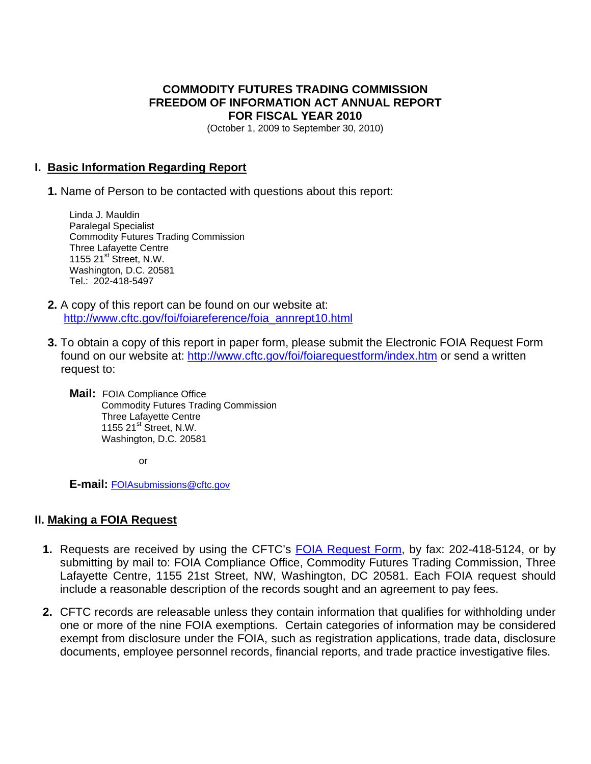### **COMMODITY FUTURES TRADING COMMISSION FREEDOM OF INFORMATION ACT ANNUAL REPORT FOR FISCAL YEAR 2010**

(October 1, 2009 to September 30, 2010)

#### **I. Basic Information Regarding Report**

 **1.** Name of Person to be contacted with questions about this report:

Linda J. Mauldin Paralegal Specialist Commodity Futures Trading Commission Three Lafayette Centre 1155 21<sup>st</sup> Street, N.W. Washington, D.C. 20581 Tel.: 202-418-5497

- **2.** A copy of this report can be found on our website at: [http://www.cftc.gov/foi/foiareference/foia\\_annrept10.html](http://www.cftc.gov/foi/foiareference/foia_annrept10.html)
- **3.** To obtain a copy of this report in paper form, please submit the Electronic FOIA Request Form found on our website at:<http://www.cftc.gov/foi/foiarequestform/index.htm> or send a written request to:

**Mail:** FOIA Compliance Office Commodity Futures Trading Commission Three Lafayette Centre 1155  $21^{st}$  Street, N.W. Washington, D.C. 20581

**or or** 

**E-mail:** FOIAsubmissions@cftc.gov

#### **II. Making a FOIA Request**

- **1.** Requests are received by using the CFTC's [FOIA Request Form](http://www.cftc.gov/foi/foiarequestform/index.htm), by fax: 202-418-5124, or by submitting by mail to: FOIA Compliance Office, Commodity Futures Trading Commission, Three Lafayette Centre, 1155 21st Street, NW, Washington, DC 20581. Each FOIA request should include a reasonable description of the records sought and an agreement to pay fees.
- **2.** CFTC records are releasable unless they contain information that qualifies for withholding under one or more of the nine FOIA exemptions. Certain categories of information may be considered exempt from disclosure under the FOIA, such as registration applications, trade data, disclosure documents, employee personnel records, financial reports, and trade practice investigative files.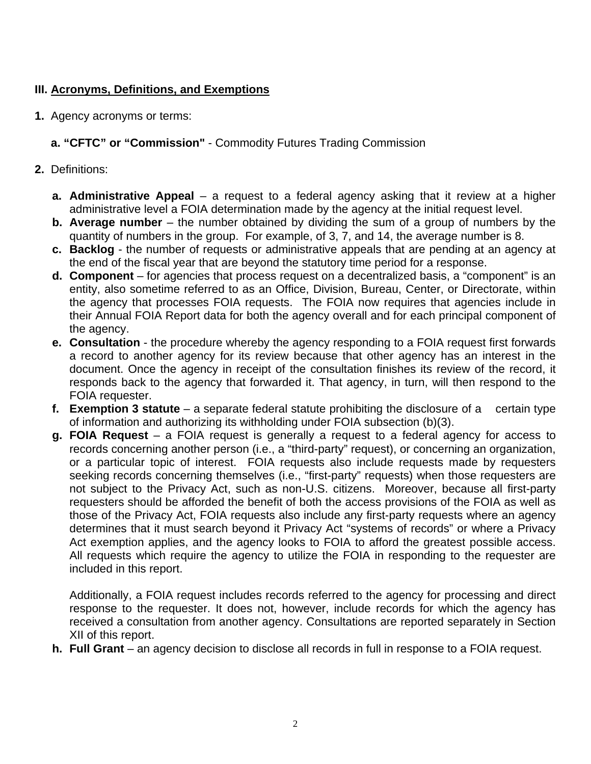# **III. Acronyms, Definitions, and Exemptions**

**1.** Agency acronyms or terms:

# **a. "CFTC" or "Commission"** - Commodity Futures Trading Commission

- **2.** Definitions:
	- **a. Administrative Appeal** a request to a federal agency asking that it review at a higher administrative level a FOIA determination made by the agency at the initial request level.
	- **b. Average number** the number obtained by dividing the sum of a group of numbers by the quantity of numbers in the group. For example, of 3, 7, and 14, the average number is 8.
	- **c. Backlog**  the number of requests or administrative appeals that are pending at an agency at the end of the fiscal year that are beyond the statutory time period for a response.
	- **d. Component**  for agencies that process request on a decentralized basis, a "component" is an entity, also sometime referred to as an Office, Division, Bureau, Center, or Directorate, within the agency that processes FOIA requests. The FOIA now requires that agencies include in their Annual FOIA Report data for both the agency overall and for each principal component of the agency.
	- **e. Consultation**  the procedure whereby the agency responding to a FOIA request first forwards a record to another agency for its review because that other agency has an interest in the document. Once the agency in receipt of the consultation finishes its review of the record, it responds back to the agency that forwarded it. That agency, in turn, will then respond to the FOIA requester.
	- **f. Exemption 3 statute** a separate federal statute prohibiting the disclosure of a certain type of information and authorizing its withholding under FOIA subsection (b)(3).
	- **g. FOIA Request**  a FOIA request is generally a request to a federal agency for access to records concerning another person (i.e., a "third-party" request), or concerning an organization, or a particular topic of interest. FOIA requests also include requests made by requesters seeking records concerning themselves (i.e., "first-party" requests) when those requesters are not subject to the Privacy Act, such as non-U.S. citizens. Moreover, because all first-party requesters should be afforded the benefit of both the access provisions of the FOIA as well as those of the Privacy Act, FOIA requests also include any first-party requests where an agency determines that it must search beyond it Privacy Act "systems of records" or where a Privacy Act exemption applies, and the agency looks to FOIA to afford the greatest possible access. All requests which require the agency to utilize the FOIA in responding to the requester are included in this report.

 Additionally, a FOIA request includes records referred to the agency for processing and direct response to the requester. It does not, however, include records for which the agency has received a consultation from another agency. Consultations are reported separately in Section XII of this report.

**h. Full Grant** – an agency decision to disclose all records in full in response to a FOIA request.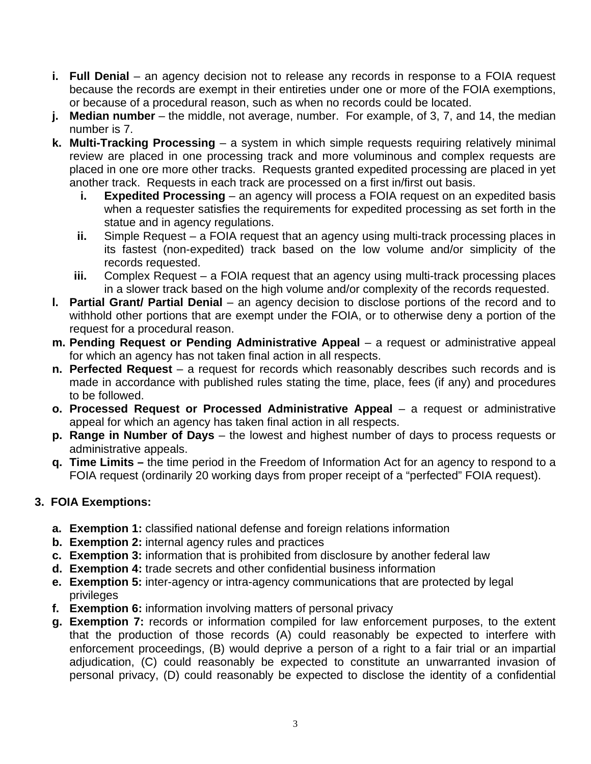- **i. Full Denial** an agency decision not to release any records in response to a FOIA request because the records are exempt in their entireties under one or more of the FOIA exemptions, or because of a procedural reason, such as when no records could be located.
- **j. Median number** the middle, not average, number. For example, of 3, 7, and 14, the median number is 7.
- **k. Multi-Tracking Processing** a system in which simple requests requiring relatively minimal review are placed in one processing track and more voluminous and complex requests are placed in one ore more other tracks. Requests granted expedited processing are placed in yet another track. Requests in each track are processed on a first in/first out basis.
	- **i.** Expedited Processing an agency will process a FOIA request on an expedited basis when a requester satisfies the requirements for expedited processing as set forth in the statue and in agency regulations.
	- **ii.** Simple Request a FOIA request that an agency using multi-track processing places in its fastest (non-expedited) track based on the low volume and/or simplicity of the records requested.
	- **iii.** Complex Request a FOIA request that an agency using multi-track processing places in a slower track based on the high volume and/or complexity of the records requested.
- **I. Partial Grant/ Partial Denial** an agency decision to disclose portions of the record and to withhold other portions that are exempt under the FOIA, or to otherwise deny a portion of the request for a procedural reason.
- **m. Pending Request or Pending Administrative Appeal**  a request or administrative appeal for which an agency has not taken final action in all respects.
- **n. Perfected Request** a request for records which reasonably describes such records and is made in accordance with published rules stating the time, place, fees (if any) and procedures to be followed.
- **o. Processed Request or Processed Administrative Appeal** a request or administrative appeal for which an agency has taken final action in all respects.
- **p. Range in Number of Days** the lowest and highest number of days to process requests or administrative appeals.
- **q. Time Limits** the time period in the Freedom of Information Act for an agency to respond to a FOIA request (ordinarily 20 working days from proper receipt of a "perfected" FOIA request).

# **3. FOIA Exemptions:**

- **a. Exemption 1:** classified national defense and foreign relations information
- **b. Exemption 2:** internal agency rules and practices
- **c. Exemption 3:** information that is prohibited from disclosure by another federal law
- **d. Exemption 4:** trade secrets and other confidential business information
- **e. Exemption 5:** inter-agency or intra-agency communications that are protected by legal privileges
- **f. Exemption 6:** information involving matters of personal privacy
- **g. Exemption 7:** records or information compiled for law enforcement purposes, to the extent that the production of those records (A) could reasonably be expected to interfere with enforcement proceedings, (B) would deprive a person of a right to a fair trial or an impartial adjudication, (C) could reasonably be expected to constitute an unwarranted invasion of personal privacy, (D) could reasonably be expected to disclose the identity of a confidential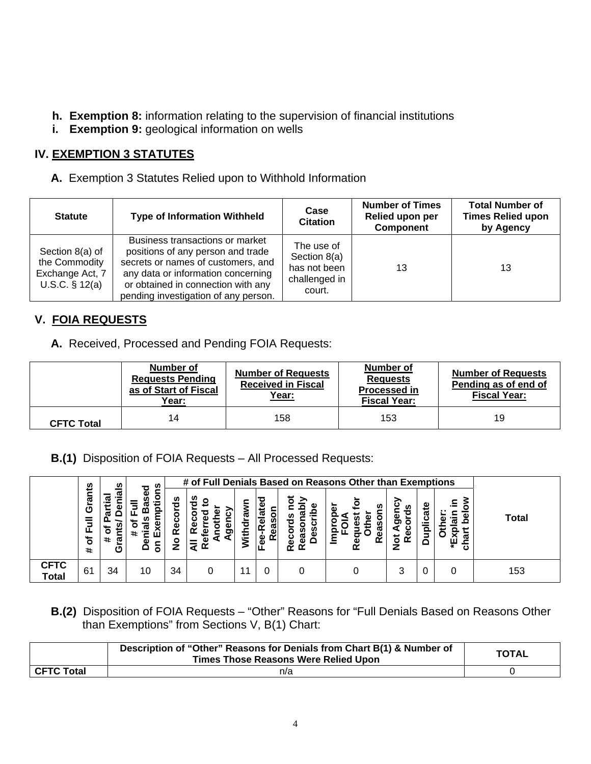- **h. Exemption 8:** information relating to the supervision of financial institutions
- **i.** Exemption 9: geological information on wells

# **IV. EXEMPTION 3 STATUTES**

**A.** Exemption 3 Statutes Relied upon to Withhold Information

| <b>Statute</b>                                                          | <b>Type of Information Withheld</b>                                                                                                                                                                                            | Case<br><b>Citation</b>                                               | <b>Number of Times</b><br>Relied upon per<br><b>Component</b> | <b>Total Number of</b><br><b>Times Relied upon</b><br>by Agency |
|-------------------------------------------------------------------------|--------------------------------------------------------------------------------------------------------------------------------------------------------------------------------------------------------------------------------|-----------------------------------------------------------------------|---------------------------------------------------------------|-----------------------------------------------------------------|
| Section 8(a) of<br>the Commodity<br>Exchange Act, 7<br>U.S.C. $§ 12(a)$ | Business transactions or market<br>positions of any person and trade<br>secrets or names of customers, and<br>any data or information concerning<br>or obtained in connection with any<br>pending investigation of any person. | The use of<br>Section 8(a)<br>has not been<br>challenged in<br>court. | 13                                                            | 13                                                              |

### **V. FOIA REQUESTS**

**A.** Received, Processed and Pending FOIA Requests:

|                   | Number of<br><b>Requests Pending</b><br>as of Start of Fiscal<br>Year: | <b>Number of Requests</b><br><b>Received in Fiscal</b><br><u>Year:</u> | Number of<br><b>Requests</b><br><b>Processed in</b><br><b>Fiscal Year:</b> | <b>Number of Requests</b><br>Pending as of end of<br><b>Fiscal Year:</b> |  |
|-------------------|------------------------------------------------------------------------|------------------------------------------------------------------------|----------------------------------------------------------------------------|--------------------------------------------------------------------------|--|
| <b>CFTC Total</b> | 14                                                                     | 158                                                                    | 153                                                                        | 19                                                                       |  |

 **B.(1)** Disposition of FOIA Requests – All Processed Requests:

|                             |                                       | n                             | U)                         |                  | # of Full Denials Based on Reasons Other than Exemptions |                 |                                               |                                                          |                                   |                                      |          |                                     |              |
|-----------------------------|---------------------------------------|-------------------------------|----------------------------|------------------|----------------------------------------------------------|-----------------|-----------------------------------------------|----------------------------------------------------------|-----------------------------------|--------------------------------------|----------|-------------------------------------|--------------|
|                             | Grants<br>$\bar{5}$<br>৳<br>$\ddot{}$ | œ<br>o<br>æ<br>$\ddot{}$<br>ပ | ಠ<br>ω<br>ш<br>ω<br>≏<br>ō | 용<br>œ<br>O<br>- | ≝<br>o<br>с<br>о<br>ပ<br>ω<br>o<br>≃                     | ັດ<br>ਰ<br>With | ω<br>Φ<br>Ιœ<br>ᠭᢐ<br>пı<br>≃<br>Φ<br>٥<br>ШL | ⋗<br>ω<br>ᠭᠣ<br>ഗ<br>--<br>စ္ၿ<br>ᠭᢐ<br>٥<br>ω<br>≃<br>œ | o<br>ഗ<br><u>ය</u><br>≃<br>Φ<br>œ | n<br>o<br>Φ<br>ື<br>ω<br>ō<br>≃<br>z | ate<br>ω | . .<br>л,<br>ᠭᠣ<br>ш<br>$\ast$<br>ω | <b>Total</b> |
| <b>CFTC</b><br><b>Total</b> | 61                                    | 34                            | 10                         | 34               |                                                          | 11              |                                               |                                                          |                                   | 3                                    |          |                                     | 153          |

 **B.(2)** Disposition of FOIA Requests – "Other" Reasons for "Full Denials Based on Reasons Other than Exemptions" from Sections V, B(1) Chart:

|            | Description of "Other" Reasons for Denials from Chart B(1) & Number of<br><b>Times Those Reasons Were Relied Upon</b> | <b>TOTAL</b> |
|------------|-----------------------------------------------------------------------------------------------------------------------|--------------|
| CFTC Total | n/a                                                                                                                   |              |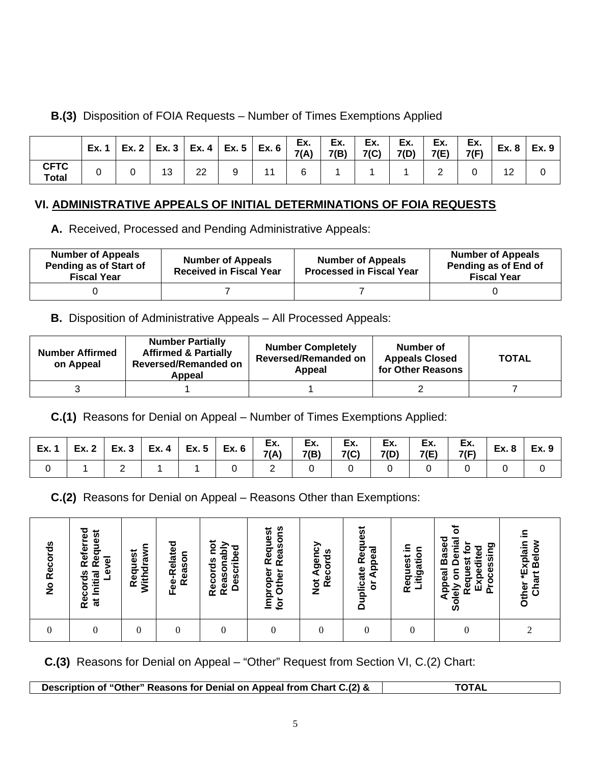# **B.(3)** Disposition of FOIA Requests – Number of Times Exemptions Applied

|                             | Ex. |    | Ex. 2   Ex. 3   Ex. 4   Ex. 5   Ex. 6 |  | Ex.<br>7(A) | Ex.<br>7(B) | Ex.<br>7(C) | Ex.<br>7(D) | Ex.<br>7(E) | Ex.<br>7(F) | Ex. 8 | Ex. 9 |
|-----------------------------|-----|----|---------------------------------------|--|-------------|-------------|-------------|-------------|-------------|-------------|-------|-------|
| <b>CFTC</b><br><b>Total</b> |     | 13 | 22                                    |  |             |             |             |             |             |             | 12    |       |

# **VI. ADMINISTRATIVE APPEALS OF INITIAL DETERMINATIONS OF FOIA REQUESTS**

 **A.** Received, Processed and Pending Administrative Appeals:

| <b>Number of Appeals</b><br>Pending as of Start of<br><b>Fiscal Year</b> | <b>Number of Appeals</b><br><b>Received in Fiscal Year</b> | <b>Number of Appeals</b><br><b>Processed in Fiscal Year</b> | <b>Number of Appeals</b><br>Pending as of End of<br><b>Fiscal Year</b> |
|--------------------------------------------------------------------------|------------------------------------------------------------|-------------------------------------------------------------|------------------------------------------------------------------------|
|                                                                          |                                                            |                                                             |                                                                        |

# **B.** Disposition of Administrative Appeals – All Processed Appeals:

| <b>Number Affirmed</b><br>on Appeal | <b>Number Partially</b><br><b>Affirmed &amp; Partially</b><br><b>Reversed/Remanded on</b><br>Appeal | <b>Number Completely</b><br><b>Reversed/Remanded on</b><br>Appeal | Number of<br><b>Appeals Closed</b><br>for Other Reasons | <b>TOTAL</b> |
|-------------------------------------|-----------------------------------------------------------------------------------------------------|-------------------------------------------------------------------|---------------------------------------------------------|--------------|
|                                     |                                                                                                     |                                                                   |                                                         |              |

 **C.(1)** Reasons for Denial on Appeal – Number of Times Exemptions Applied:

|  |  |  | $\Big $ Ex. 1 $\Big $ Ex. 2 $\Big $ Ex. 3 $\Big $ Ex. 4 $\Big $ Ex. 5 $\Big $ Ex. 6 $\Big $ Ex. $\Big $ Ex. $\Big $ Ex. $\Big $ Ex. $\Big $ Ex. $\Big $ Ex. $\Big $ Ex. $\Big $ Ex. $\Big $ Ex. $\Big $ Ex. $\Big $ Ex. $\Big $ Ex. $\Big $ Ex. $\Big $ Ex. $\Big $ Ex. |  |                     | $Ex. 8$ $Ex. 9$ |
|--|--|--|-------------------------------------------------------------------------------------------------------------------------------------------------------------------------------------------------------------------------------------------------------------------------|--|---------------------|-----------------|
|  |  |  | 0 2 0 0 0 0                                                                                                                                                                                                                                                             |  | $0 \quad   \quad 0$ |                 |

**C.(2)** Reasons for Denial on Appeal – Reasons Other than Exemptions:

| <b>Records</b><br>$\frac{6}{5}$ | Referred<br>Request<br>Level<br>Records<br>at Initial | Withdrawn<br>Request | Fee-Related<br>Reason | not<br>Reasonably<br><b>Described</b><br>Records | Reasons<br>Request<br>Improper<br>Other<br>for | Not Agency<br>Records | <b>Duplicate Request</b><br>or Appeal | ≘.<br>itigation<br>Request | ৳<br><b>Appeal Based</b><br><b>Denial</b><br><b>Solely on Denux</b><br>Request for<br>Processing<br>Expedited | ≘.<br>Other *Explain<br>Chart Below |
|---------------------------------|-------------------------------------------------------|----------------------|-----------------------|--------------------------------------------------|------------------------------------------------|-----------------------|---------------------------------------|----------------------------|---------------------------------------------------------------------------------------------------------------|-------------------------------------|
|                                 |                                                       | 0                    |                       |                                                  |                                                | 0                     | 0                                     |                            | $\theta$                                                                                                      |                                     |

 **C.(3)** Reasons for Denial on Appeal – "Other" Request from Section VI, C.(2) Chart:

**Description of "Other" Reasons for Denial on Appeal from Chart C.(2) & TOTAL**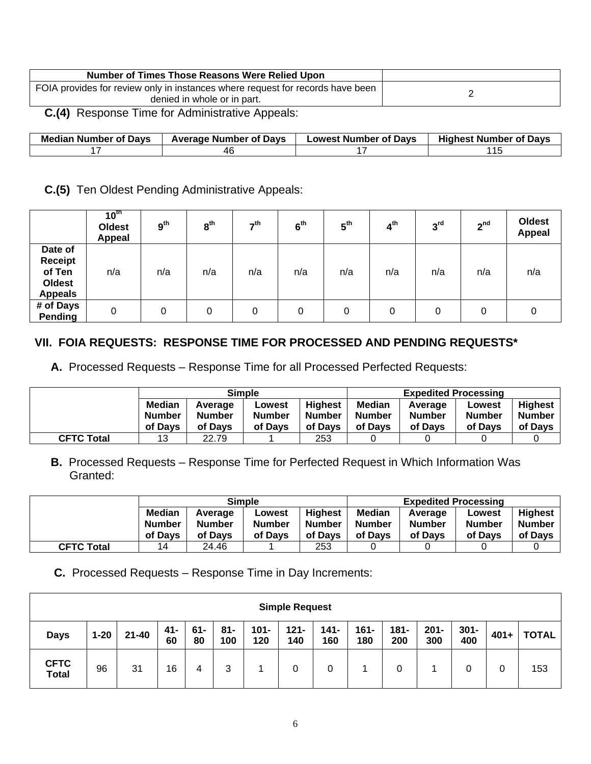| Number of Times Those Reasons Were Relied Upon                                                                |  |
|---------------------------------------------------------------------------------------------------------------|--|
| FOIA provides for review only in instances where request for records have been<br>denied in whole or in part. |  |

 **C.(4)** Response Time for Administrative Appeals:

| <b>Median Number of Days</b> | <b>Average Number of Davs</b> | <b>Lowest Number of Davs</b> | .<br><b>Highest Number of Davs</b> |
|------------------------------|-------------------------------|------------------------------|------------------------------------|
|                              |                               |                              |                                    |

#### **C.(5)** Ten Oldest Pending Administrative Appeals:

|                                                                        | $10^{th}$<br><b>Oldest</b><br>Appeal | 9 <sup>th</sup> | $8^{\text{th}}$ | $-th$ | 6 <sup>th</sup> | $5^{\text{th}}$ | 4 <sup>th</sup> | 3 <sup>rd</sup> | 2 <sup>nd</sup> | Oldest<br><b>Appeal</b> |
|------------------------------------------------------------------------|--------------------------------------|-----------------|-----------------|-------|-----------------|-----------------|-----------------|-----------------|-----------------|-------------------------|
| Date of<br><b>Receipt</b><br>of Ten<br><b>Oldest</b><br><b>Appeals</b> | n/a                                  | n/a             | n/a             | n/a   | n/a             | n/a             | n/a             | n/a             | n/a             | n/a                     |
| # of Days<br>Pending                                                   | 0                                    | 0               | 0               | 0     | 0               | 0               | 0               | 0               | 0               | 0                       |

#### **VII. FOIA REQUESTS: RESPONSE TIME FOR PROCESSED AND PENDING REQUESTS\***

 **A.** Processed Requests – Response Time for all Processed Perfected Requests:

|                   | <b>Simple</b>                             |                                     |                                    |                                     | <b>Expedited Processing</b>               |                                     |                                    |                                            |
|-------------------|-------------------------------------------|-------------------------------------|------------------------------------|-------------------------------------|-------------------------------------------|-------------------------------------|------------------------------------|--------------------------------------------|
|                   | <b>Median</b><br><b>Number</b><br>of Davs | Average<br><b>Number</b><br>of Davs | Lowest<br><b>Number</b><br>of Davs | Highest<br><b>Number</b><br>of Davs | <b>Median</b><br><b>Number</b><br>of Davs | Average<br><b>Number</b><br>of Davs | Lowest<br><b>Number</b><br>of Davs | <b>Highest</b><br><b>Number</b><br>of Davs |
| <b>CFTC Total</b> | 13                                        | 22.79                               |                                    | 253                                 |                                           |                                     |                                    |                                            |

 **B.** Processed Requests – Response Time for Perfected Request in Which Information Was Granted:

|                   | <b>Simple</b>                             |                              |                                    |                                            | <b>Expedited Processing</b>        |                                     |                                    |                                            |
|-------------------|-------------------------------------------|------------------------------|------------------------------------|--------------------------------------------|------------------------------------|-------------------------------------|------------------------------------|--------------------------------------------|
|                   | <b>Median</b><br><b>Number</b><br>of Davs | Average<br>Number<br>of Davs | Lowest<br><b>Number</b><br>of Davs | <b>Highest</b><br><b>Number</b><br>of Davs | <b>Median</b><br>Number<br>of Davs | Average<br><b>Number</b><br>of Davs | Lowest<br><b>Number</b><br>of Davs | <b>Highest</b><br><b>Number</b><br>of Davs |
| <b>CFTC Total</b> | 14                                        | 24.46                        |                                    | 253                                        |                                    |                                     |                                    |                                            |

**C.** Processed Requests – Response Time in Day Increments:

|                             | <b>Simple Request</b> |           |           |              |            |                |                |                |                |                |                |                |         |              |
|-----------------------------|-----------------------|-----------|-----------|--------------|------------|----------------|----------------|----------------|----------------|----------------|----------------|----------------|---------|--------------|
| <b>Days</b>                 | $1 - 20$              | $21 - 40$ | 41-<br>60 | $61 -$<br>80 | 81-<br>100 | $101 -$<br>120 | $121 -$<br>140 | $141 -$<br>160 | $161 -$<br>180 | $181 -$<br>200 | $201 -$<br>300 | $301 -$<br>400 | $401 +$ | <b>TOTAL</b> |
| <b>CFTC</b><br><b>Total</b> | 96                    | 31        | 16        | 4            | 3          |                | 0              | 0              |                | 0              |                | 0              | 0       | 153          |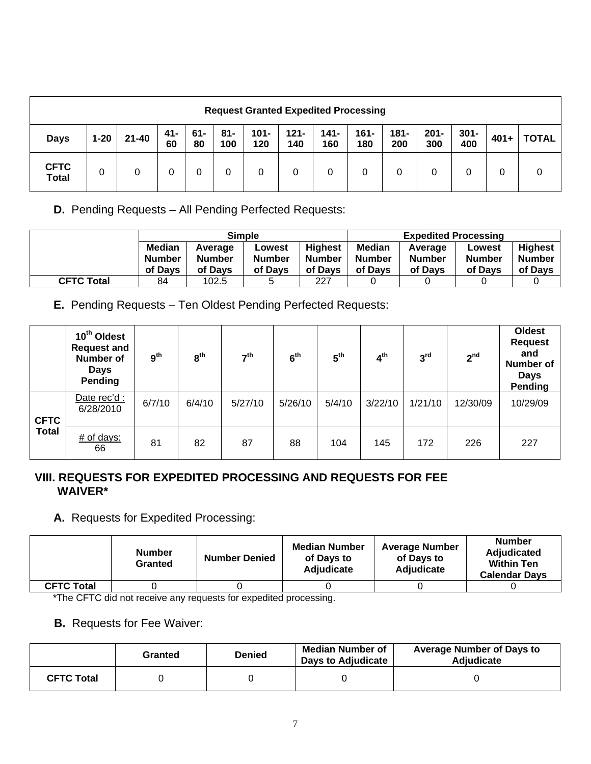|                             | <b>Request Granted Expedited Processing</b> |           |           |              |            |                |                |                |                |                |                |                |        |              |
|-----------------------------|---------------------------------------------|-----------|-----------|--------------|------------|----------------|----------------|----------------|----------------|----------------|----------------|----------------|--------|--------------|
| <b>Days</b>                 | $1 - 20$                                    | $21 - 40$ | 41-<br>60 | $61 -$<br>80 | 81-<br>100 | $101 -$<br>120 | $121 -$<br>140 | $141 -$<br>160 | $161 -$<br>180 | $181 -$<br>200 | $201 -$<br>300 | $301 -$<br>400 | $401+$ | <b>TOTAL</b> |
| <b>CFTC</b><br><b>Total</b> | 0                                           | 0         |           | 0            | 0          | 0              | 0              | 0              | 0              | 0              |                | 0              | 0      |              |

**D.** Pending Requests – All Pending Perfected Requests:

|                   |               |               | <b>Simple</b> |                | <b>Expedited Processing</b> |               |               |                |
|-------------------|---------------|---------------|---------------|----------------|-----------------------------|---------------|---------------|----------------|
|                   | <b>Median</b> | Average       | Lowest        | <b>Highest</b> | <b>Median</b>               | Average       | Lowest        | <b>Highest</b> |
|                   | <b>Number</b> | <b>Number</b> | <b>Number</b> | <b>Number</b>  | <b>Number</b>               | <b>Number</b> | <b>Number</b> | <b>Number</b>  |
|                   | of Davs       | of Davs       | of Davs       | of Davs        | of Davs                     | of Davs       | of Davs       | of Days        |
| <b>CFTC Total</b> | 84            | 102.5         | 5             | 227            |                             |               |               |                |

**E.** Pending Requests – Ten Oldest Pending Perfected Requests:

|              | 10 <sup>th</sup> Oldest<br><b>Request and</b><br>Number of<br><b>Days</b><br>Pending | 9 <sup>th</sup> | 8 <sup>th</sup> | 7 <sup>th</sup> | 6 <sup>th</sup> | 5 <sup>th</sup> | 4 <sup>th</sup> | 3 <sup>rd</sup> | 2 <sup>nd</sup> | <b>Oldest</b><br><b>Request</b><br>and<br><b>Number of</b><br><b>Days</b><br>Pending |
|--------------|--------------------------------------------------------------------------------------|-----------------|-----------------|-----------------|-----------------|-----------------|-----------------|-----------------|-----------------|--------------------------------------------------------------------------------------|
| <b>CFTC</b>  | Date rec'd :<br>6/28/2010                                                            | 6/7/10          | 6/4/10          | 5/27/10         | 5/26/10         | 5/4/10          | 3/22/10         | 1/21/10         | 12/30/09        | 10/29/09                                                                             |
| <b>Total</b> | $#$ of days:<br>66                                                                   | 81              | 82              | 87              | 88              | 104             | 145             | 172             | 226             | 227                                                                                  |

#### **VIII. REQUESTS FOR EXPEDITED PROCESSING AND REQUESTS FOR FEE WAIVER\***

# **A.** Requests for Expedited Processing:

|                   | <b>Number</b><br>Granted | <b>Number Denied</b> | <b>Median Number</b><br>of Days to<br><b>Adjudicate</b> | <b>Average Number</b><br>of Days to<br>Adjudicate | <b>Number</b><br><b>Adjudicated</b><br><b>Within Ten</b><br><b>Calendar Days</b> |
|-------------------|--------------------------|----------------------|---------------------------------------------------------|---------------------------------------------------|----------------------------------------------------------------------------------|
| <b>CFTC Total</b> |                          |                      |                                                         |                                                   |                                                                                  |

\*The CFTC did not receive any requests for expedited processing.

# **B.** Requests for Fee Waiver:

|                   | Granted | <b>Denied</b> | <b>Median Number of</b><br><b>Days to Adjudicate</b> | <b>Average Number of Days to</b><br><b>Adiudicate</b> |
|-------------------|---------|---------------|------------------------------------------------------|-------------------------------------------------------|
| <b>CFTC Total</b> |         |               |                                                      |                                                       |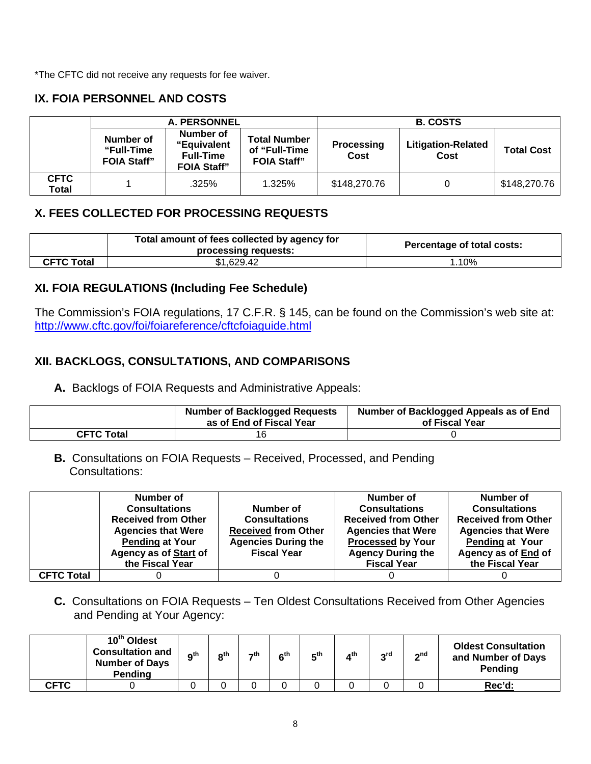\*The CFTC did not receive any requests for fee waiver.

## **IX. FOIA PERSONNEL AND COSTS**

|                      |                                               | <b>A. PERSONNEL</b>                                                |                                                            | <b>B. COSTS</b>           |                                   |                   |  |
|----------------------|-----------------------------------------------|--------------------------------------------------------------------|------------------------------------------------------------|---------------------------|-----------------------------------|-------------------|--|
|                      | Number of<br>"Full-Time<br><b>FOIA Staff"</b> | Number of<br>"Equivalent<br><b>Full-Time</b><br><b>FOIA Staff"</b> | <b>Total Number</b><br>of "Full-Time<br><b>FOIA Staff"</b> | <b>Processing</b><br>Cost | <b>Litigation-Related</b><br>Cost | <b>Total Cost</b> |  |
| <b>CFTC</b><br>Total |                                               | .325%                                                              | 1.325%                                                     | \$148,270.76              |                                   | \$148,270.76      |  |

### **X. FEES COLLECTED FOR PROCESSING REQUESTS**

|                   | Total amount of fees collected by agency for<br>processing requests: | Percentage of total costs: |
|-------------------|----------------------------------------------------------------------|----------------------------|
| <b>CFTC Total</b> | \$1,629.42                                                           | 10%                        |

#### **XI. FOIA REGULATIONS (Including Fee Schedule)**

The Commission's FOIA regulations, 17 C.F.R. § 145, can be found on the Commission's web site at: <http://www.cftc.gov/foi/foiareference/cftcfoiaguide.html>

### **XII. BACKLOGS, CONSULTATIONS, AND COMPARISONS**

**A.** Backlogs of FOIA Requests and Administrative Appeals:

|                   | <b>Number of Backlogged Requests</b><br>as of End of Fiscal Year | Number of Backlogged Appeals as of End<br>of Fiscal Year |
|-------------------|------------------------------------------------------------------|----------------------------------------------------------|
| <b>CFTC Total</b> | 16                                                               |                                                          |

 **B.** Consultations on FOIA Requests – Received, Processed, and Pending Consultations:

|                   | Number of                    |                            | Number of                  | Number of                  |
|-------------------|------------------------------|----------------------------|----------------------------|----------------------------|
|                   | <b>Consultations</b>         | Number of                  | <b>Consultations</b>       | <b>Consultations</b>       |
|                   | <b>Received from Other</b>   | <b>Consultations</b>       | <b>Received from Other</b> | <b>Received from Other</b> |
|                   | <b>Agencies that Were</b>    | <b>Received from Other</b> | <b>Agencies that Were</b>  | <b>Agencies that Were</b>  |
|                   | <b>Pending at Your</b>       | <b>Agencies During the</b> | <b>Processed by Your</b>   | <b>Pending at Your</b>     |
|                   | <b>Agency as of Start of</b> | <b>Fiscal Year</b>         | <b>Agency During the</b>   | Agency as of End of        |
|                   | the Fiscal Year              |                            | <b>Fiscal Year</b>         | the Fiscal Year            |
| <b>CFTC Total</b> |                              |                            |                            |                            |

 **C.** Consultations on FOIA Requests – Ten Oldest Consultations Received from Other Agencies and Pending at Your Agency:

|             | 10 <sup>th</sup> Oldest<br><b>Consultation and</b><br><b>Number of Days</b><br>Pending | Ωth | $\mathsf{a}$ th | $\rightarrow$ th | c <sup>th</sup> | гth | ⊿th | <sub>o</sub> rd | $\sim$ nd | <b>Oldest Consultation</b><br>and Number of Days<br>Pending |
|-------------|----------------------------------------------------------------------------------------|-----|-----------------|------------------|-----------------|-----|-----|-----------------|-----------|-------------------------------------------------------------|
| <b>CFTC</b> |                                                                                        |     |                 |                  |                 |     |     |                 |           | Rec'd:                                                      |